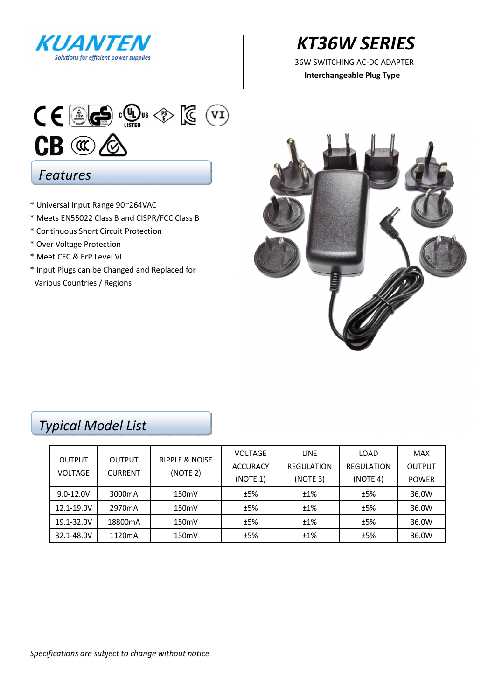

# *KT36W SERIES*

**Interchangeable Plug Type** 



### \* Universal Input Range 90~264VAC

- \* Meets EN55022 Class B and CISPR/FCC Class B
- \* Continuous Short Circuit Protection
- \* Over Voltage Protection
- \* Meet CEC & ErP Level VI
- \* Input Plugs can be Changed and Replaced for Various Countries / Regions



## *Typical Model List*

|                                 |                          | <b>RIPPLE &amp; NOISE</b> | <b>VOLTAGE</b>  | <b>LINE</b>       | LOAD       | <b>MAX</b>    |
|---------------------------------|--------------------------|---------------------------|-----------------|-------------------|------------|---------------|
| <b>OUTPUT</b><br><b>VOLTAGE</b> | OUTPUT<br><b>CURRENT</b> |                           | <b>ACCURACY</b> | <b>REGULATION</b> | REGULATION | <b>OUTPUT</b> |
|                                 |                          | (NOTE 2)                  | (NOTE 1)        | (NOTE 3)          | (NOTE 4)   | <b>POWER</b>  |
| $9.0 - 12.0V$                   | 3000 <sub>m</sub> A      | 150mV                     | ±5%             | ±1%               | ±5%        | 36.0W         |
| 12.1-19.0V                      | 2970 <sub>m</sub> A      | 150 <sub>m</sub>          | ±5%             | ±1%               | ±5%        | 36.0W         |
| 19.1-32.0V                      | 18800mA                  | 150mV                     | ±5%             | ±1%               | ±5%        | 36.0W         |
| 32.1-48.0V                      | 1120mA                   | 150 <sub>m</sub>          | ±5%             | ±1%               | ±5%        | 36.0W         |